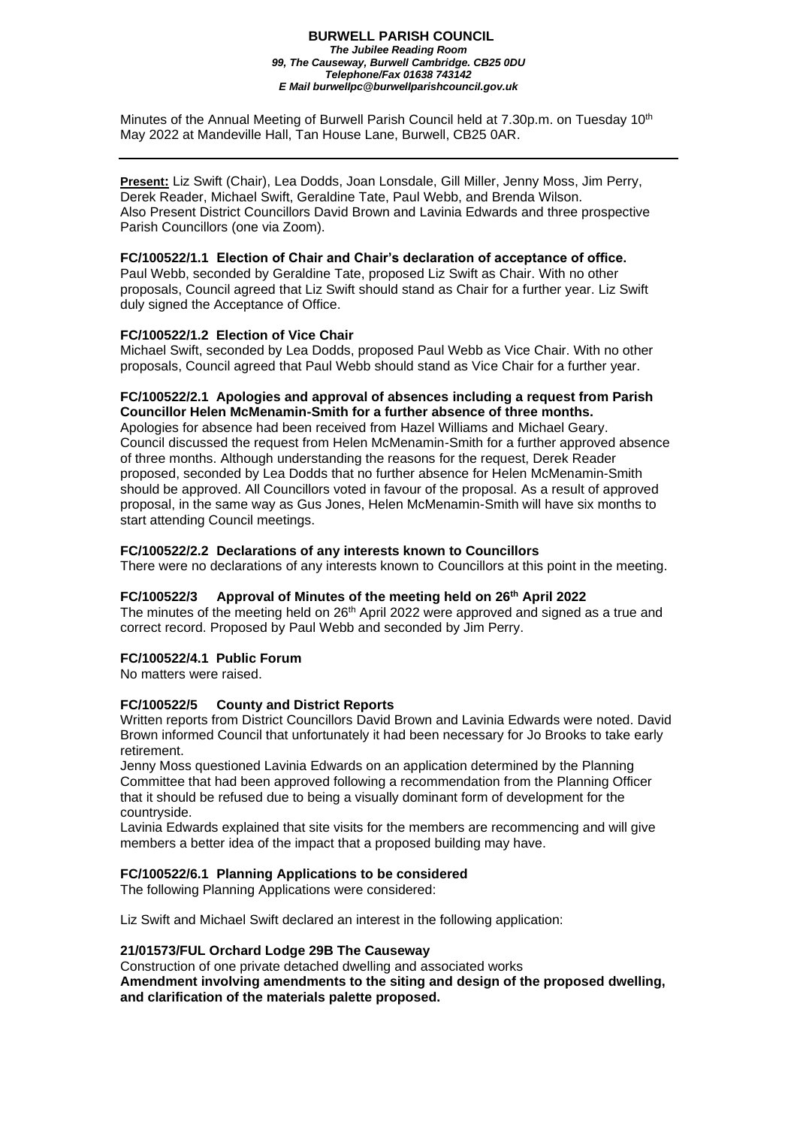#### **BURWELL PARISH COUNCIL** *The Jubilee Reading Room 99, The Causeway, Burwell Cambridge. CB25 0DU Telephone/Fax 01638 743142 E Mail burwellpc@burwellparishcouncil.gov.uk*

Minutes of the Annual Meeting of Burwell Parish Council held at 7.30p.m. on Tuesday 10 $^{\rm th}$ May 2022 at Mandeville Hall, Tan House Lane, Burwell, CB25 0AR.

**Present:** Liz Swift (Chair), Lea Dodds, Joan Lonsdale, Gill Miller, Jenny Moss, Jim Perry, Derek Reader, Michael Swift, Geraldine Tate, Paul Webb, and Brenda Wilson. Also Present District Councillors David Brown and Lavinia Edwards and three prospective Parish Councillors (one via Zoom).

#### **FC/100522/1.1 Election of Chair and Chair's declaration of acceptance of office.**

Paul Webb, seconded by Geraldine Tate, proposed Liz Swift as Chair. With no other proposals, Council agreed that Liz Swift should stand as Chair for a further year. Liz Swift duly signed the Acceptance of Office.

#### **FC/100522/1.2 Election of Vice Chair**

Michael Swift, seconded by Lea Dodds, proposed Paul Webb as Vice Chair. With no other proposals, Council agreed that Paul Webb should stand as Vice Chair for a further year.

#### **FC/100522/2.1 Apologies and approval of absences including a request from Parish Councillor Helen McMenamin-Smith for a further absence of three months.**

Apologies for absence had been received from Hazel Williams and Michael Geary. Council discussed the request from Helen McMenamin-Smith for a further approved absence of three months. Although understanding the reasons for the request, Derek Reader proposed, seconded by Lea Dodds that no further absence for Helen McMenamin-Smith should be approved. All Councillors voted in favour of the proposal. As a result of approved proposal, in the same way as Gus Jones, Helen McMenamin-Smith will have six months to start attending Council meetings.

#### **FC/100522/2.2 Declarations of any interests known to Councillors**

There were no declarations of any interests known to Councillors at this point in the meeting.

#### **FC/100522/3 Approval of Minutes of the meeting held on 26th April 2022**

The minutes of the meeting held on 26<sup>th</sup> April 2022 were approved and signed as a true and correct record. Proposed by Paul Webb and seconded by Jim Perry.

#### **FC/100522/4.1 Public Forum**

No matters were raised.

#### **FC/100522/5 County and District Reports**

Written reports from District Councillors David Brown and Lavinia Edwards were noted. David Brown informed Council that unfortunately it had been necessary for Jo Brooks to take early retirement.

Jenny Moss questioned Lavinia Edwards on an application determined by the Planning Committee that had been approved following a recommendation from the Planning Officer that it should be refused due to being a visually dominant form of development for the countryside.

Lavinia Edwards explained that site visits for the members are recommencing and will give members a better idea of the impact that a proposed building may have.

#### **FC/100522/6.1 Planning Applications to be considered**

The following Planning Applications were considered:

Liz Swift and Michael Swift declared an interest in the following application:

#### **21/01573/FUL Orchard Lodge 29B The Causeway**

Construction of one private detached dwelling and associated works **Amendment involving amendments to the siting and design of the proposed dwelling, and clarification of the materials palette proposed.**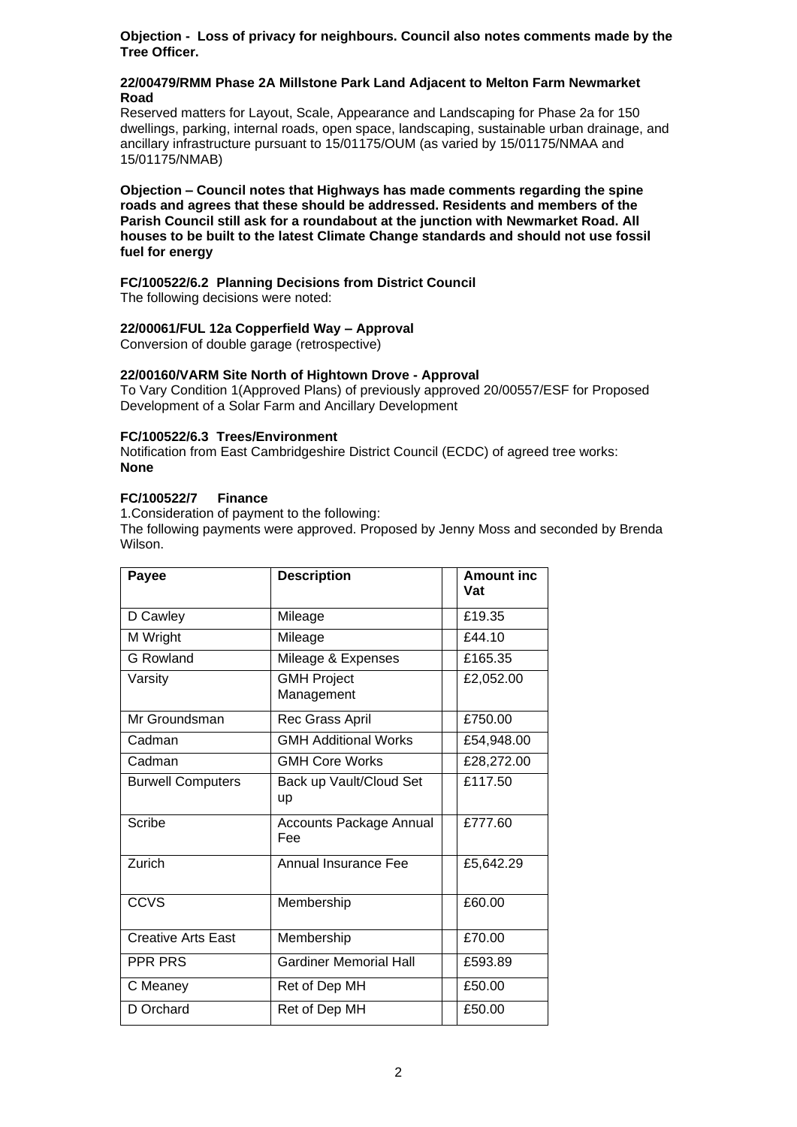**Objection - Loss of privacy for neighbours. Council also notes comments made by the Tree Officer.**

#### **22/00479/RMM Phase 2A Millstone Park Land Adjacent to Melton Farm Newmarket Road**

Reserved matters for Layout, Scale, Appearance and Landscaping for Phase 2a for 150 dwellings, parking, internal roads, open space, landscaping, sustainable urban drainage, and ancillary infrastructure pursuant to 15/01175/OUM (as varied by 15/01175/NMAA and 15/01175/NMAB)

**Objection – Council notes that Highways has made comments regarding the spine roads and agrees that these should be addressed. Residents and members of the Parish Council still ask for a roundabout at the junction with Newmarket Road. All houses to be built to the latest Climate Change standards and should not use fossil fuel for energy**

# **FC/100522/6.2 Planning Decisions from District Council**

The following decisions were noted:

# **22/00061/FUL 12a Copperfield Way – Approval**

Conversion of double garage (retrospective)

## **22/00160/VARM Site North of Hightown Drove - Approval**

To Vary Condition 1(Approved Plans) of previously approved 20/00557/ESF for Proposed Development of a Solar Farm and Ancillary Development

#### **FC/100522/6.3 Trees/Environment**

Notification from East Cambridgeshire District Council (ECDC) of agreed tree works: **None**

#### **FC/100522/7 Finance**

1.Consideration of payment to the following:

The following payments were approved. Proposed by Jenny Moss and seconded by Brenda Wilson.

| Payee                     | <b>Description</b>                    | <b>Amount inc</b><br>Vat |
|---------------------------|---------------------------------------|--------------------------|
| D Cawley                  | Mileage                               | £19.35                   |
| M Wright                  | Mileage                               | f44.10                   |
| <b>G</b> Rowland          | Mileage & Expenses                    | £165.35                  |
| Varsity                   | <b>GMH Project</b><br>Management      | £2,052.00                |
| Mr Groundsman             | Rec Grass April                       | £750.00                  |
| Cadman                    | <b>GMH Additional Works</b>           | £54,948.00               |
| Cadman                    | <b>GMH Core Works</b>                 | £28,272.00               |
| <b>Burwell Computers</b>  | Back up Vault/Cloud Set<br>up         | £117.50                  |
| Scribe                    | <b>Accounts Package Annual</b><br>Fee | £777.60                  |
| Zurich                    | <b>Annual Insurance Fee</b>           | £5,642.29                |
| CCVS                      | Membership                            | £60.00                   |
| <b>Creative Arts East</b> | Membership                            | £70.00                   |
| PPR PRS                   | <b>Gardiner Memorial Hall</b>         | £593.89                  |
| C Meaney                  | Ret of Dep MH                         | £50.00                   |
| D Orchard                 | Ret of Dep MH                         | £50.00                   |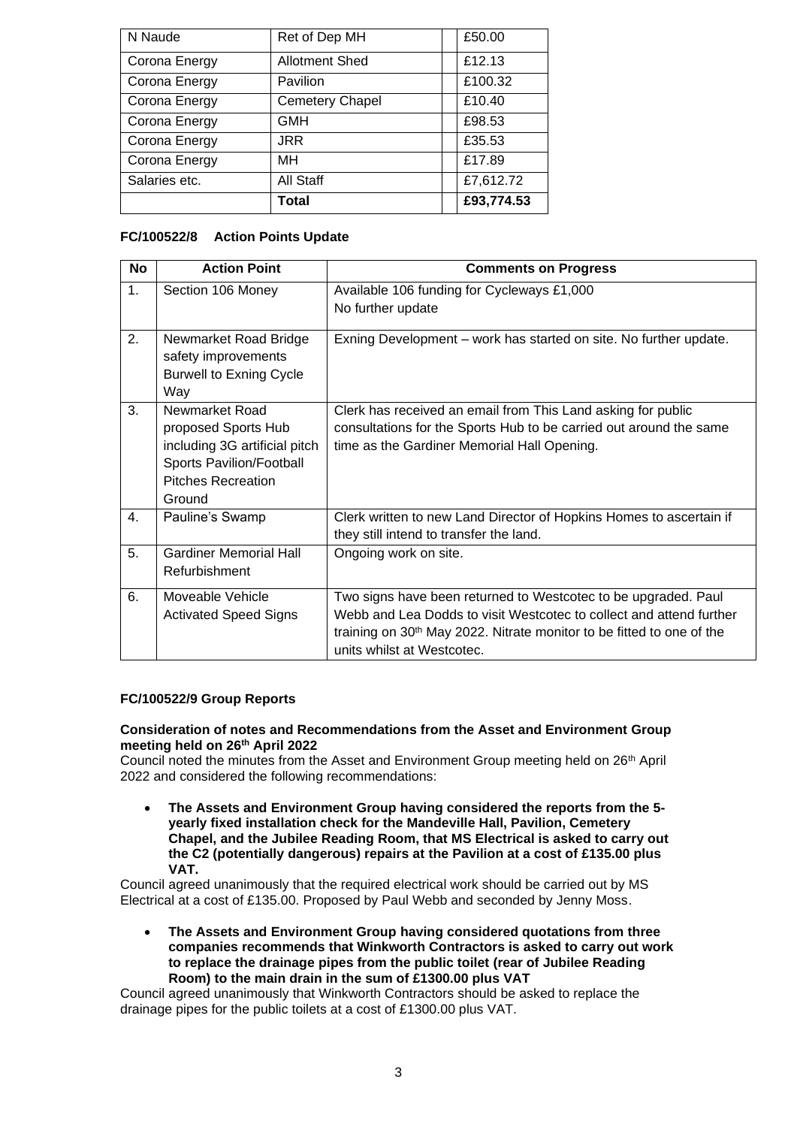| N Naude       | Ret of Dep MH          | £50.00     |
|---------------|------------------------|------------|
| Corona Energy | <b>Allotment Shed</b>  | £12.13     |
| Corona Energy | Pavilion               | £100.32    |
| Corona Energy | <b>Cemetery Chapel</b> | £10.40     |
| Corona Energy | <b>GMH</b>             | £98.53     |
| Corona Energy | <b>JRR</b>             | £35.53     |
| Corona Energy | MН                     | £17.89     |
| Salaries etc. | All Staff              | £7,612.72  |
|               | <b>Total</b>           | £93,774.53 |

# **FC/100522/8 Action Points Update**

| <b>No</b>      | <b>Action Point</b>                                                                                                                       | <b>Comments on Progress</b>                                                                                                                                                                                                                              |
|----------------|-------------------------------------------------------------------------------------------------------------------------------------------|----------------------------------------------------------------------------------------------------------------------------------------------------------------------------------------------------------------------------------------------------------|
| 1.             | Section 106 Money                                                                                                                         | Available 106 funding for Cycleways £1,000<br>No further update                                                                                                                                                                                          |
| 2.             | Newmarket Road Bridge<br>safety improvements<br><b>Burwell to Exning Cycle</b><br>Way                                                     | Exning Development – work has started on site. No further update.                                                                                                                                                                                        |
| 3.             | Newmarket Road<br>proposed Sports Hub<br>including 3G artificial pitch<br>Sports Pavilion/Football<br><b>Pitches Recreation</b><br>Ground | Clerk has received an email from This Land asking for public<br>consultations for the Sports Hub to be carried out around the same<br>time as the Gardiner Memorial Hall Opening.                                                                        |
| 4.             | Pauline's Swamp                                                                                                                           | Clerk written to new Land Director of Hopkins Homes to ascertain if<br>they still intend to transfer the land.                                                                                                                                           |
| 5 <sub>1</sub> | <b>Gardiner Memorial Hall</b><br>Refurbishment                                                                                            | Ongoing work on site.                                                                                                                                                                                                                                    |
| 6.             | Moveable Vehicle<br><b>Activated Speed Signs</b>                                                                                          | Two signs have been returned to Westcotec to be upgraded. Paul<br>Webb and Lea Dodds to visit Westcotec to collect and attend further<br>training on 30 <sup>th</sup> May 2022. Nitrate monitor to be fitted to one of the<br>units whilst at Westcotec. |

## **FC/100522/9 Group Reports**

#### **Consideration of notes and Recommendations from the Asset and Environment Group meeting held on 26 th April 2022**

Council noted the minutes from the Asset and Environment Group meeting held on 26<sup>th</sup> April 2022 and considered the following recommendations:

• **The Assets and Environment Group having considered the reports from the 5 yearly fixed installation check for the Mandeville Hall, Pavilion, Cemetery Chapel, and the Jubilee Reading Room, that MS Electrical is asked to carry out the C2 (potentially dangerous) repairs at the Pavilion at a cost of £135.00 plus VAT.**

Council agreed unanimously that the required electrical work should be carried out by MS Electrical at a cost of £135.00. Proposed by Paul Webb and seconded by Jenny Moss.

• **The Assets and Environment Group having considered quotations from three companies recommends that Winkworth Contractors is asked to carry out work to replace the drainage pipes from the public toilet (rear of Jubilee Reading Room) to the main drain in the sum of £1300.00 plus VAT**

Council agreed unanimously that Winkworth Contractors should be asked to replace the drainage pipes for the public toilets at a cost of £1300.00 plus VAT.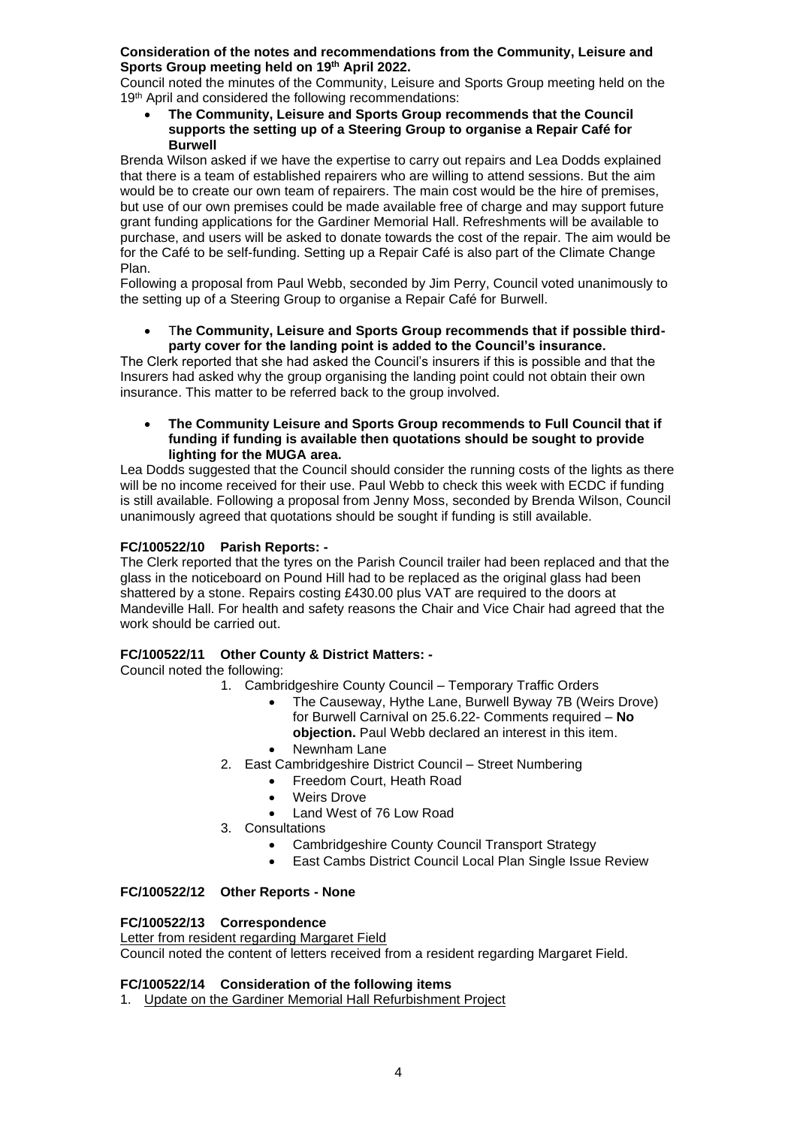#### **Consideration of the notes and recommendations from the Community, Leisure and Sports Group meeting held on 19th April 2022.**

Council noted the minutes of the Community, Leisure and Sports Group meeting held on the 19<sup>th</sup> April and considered the following recommendations:

• **The Community, Leisure and Sports Group recommends that the Council supports the setting up of a Steering Group to organise a Repair Café for Burwell**

Brenda Wilson asked if we have the expertise to carry out repairs and Lea Dodds explained that there is a team of established repairers who are willing to attend sessions. But the aim would be to create our own team of repairers. The main cost would be the hire of premises, but use of our own premises could be made available free of charge and may support future grant funding applications for the Gardiner Memorial Hall. Refreshments will be available to purchase, and users will be asked to donate towards the cost of the repair. The aim would be for the Café to be self-funding. Setting up a Repair Café is also part of the Climate Change Plan.

Following a proposal from Paul Webb, seconded by Jim Perry, Council voted unanimously to the setting up of a Steering Group to organise a Repair Café for Burwell.

#### • T**he Community, Leisure and Sports Group recommends that if possible thirdparty cover for the landing point is added to the Council's insurance.**

The Clerk reported that she had asked the Council's insurers if this is possible and that the Insurers had asked why the group organising the landing point could not obtain their own insurance. This matter to be referred back to the group involved.

#### • **The Community Leisure and Sports Group recommends to Full Council that if funding if funding is available then quotations should be sought to provide lighting for the MUGA area.**

Lea Dodds suggested that the Council should consider the running costs of the lights as there will be no income received for their use. Paul Webb to check this week with ECDC if funding is still available. Following a proposal from Jenny Moss, seconded by Brenda Wilson, Council unanimously agreed that quotations should be sought if funding is still available.

# **FC/100522/10 Parish Reports: -**

The Clerk reported that the tyres on the Parish Council trailer had been replaced and that the glass in the noticeboard on Pound Hill had to be replaced as the original glass had been shattered by a stone. Repairs costing £430.00 plus VAT are required to the doors at Mandeville Hall. For health and safety reasons the Chair and Vice Chair had agreed that the work should be carried out.

# **FC/100522/11 Other County & District Matters: -**

Council noted the following:

- 1. Cambridgeshire County Council Temporary Traffic Orders
	- The Causeway, Hythe Lane, Burwell Byway 7B (Weirs Drove) for Burwell Carnival on 25.6.22- Comments required – **No objection.** Paul Webb declared an interest in this item.
	- Newnham Lane
- 2. East Cambridgeshire District Council Street Numbering
	- Freedom Court, Heath Road
	- Weirs Drove
	- Land West of 76 Low Road
- 3. Consultations
	- Cambridgeshire County Council Transport Strategy
	- East Cambs District Council Local Plan Single Issue Review

## **FC/100522/12 Other Reports - None**

## **FC/100522/13 Correspondence**

#### Letter from resident regarding Margaret Field

Council noted the content of letters received from a resident regarding Margaret Field.

## **FC/100522/14 Consideration of the following items**

1. Update on the Gardiner Memorial Hall Refurbishment Project